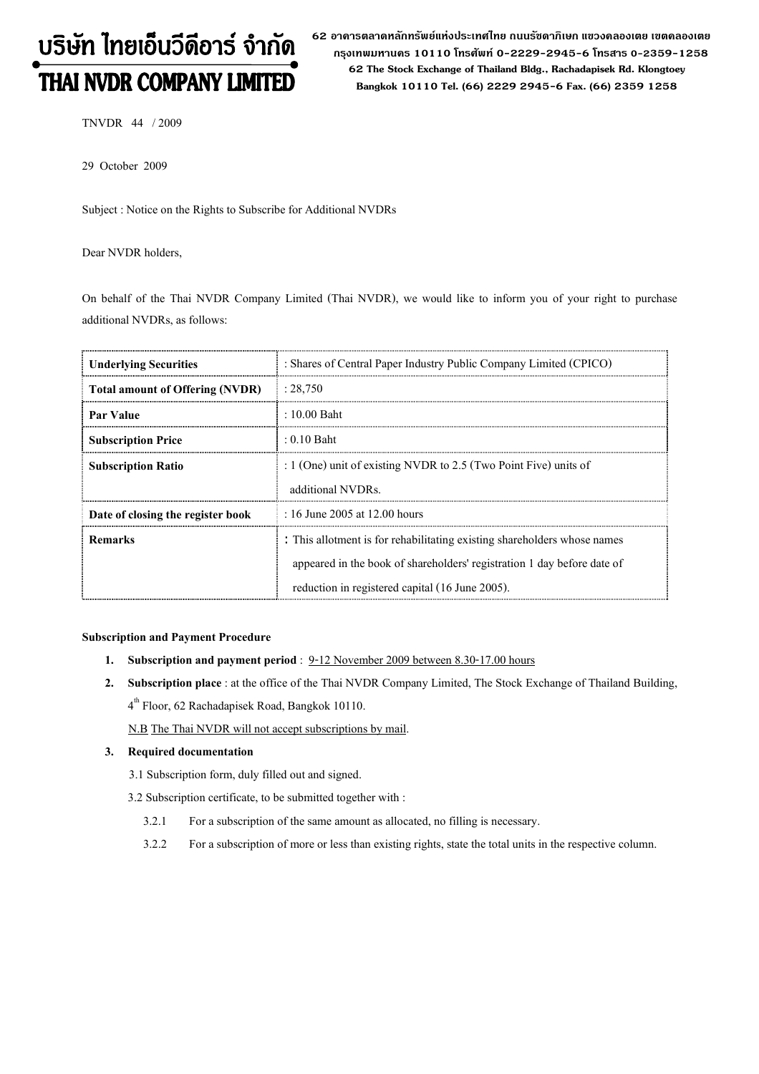# บริษัท ไทยเอ็นวีดีอาร์ จำกัด THAI NVDR COMPANY LIMITED

62 อาดารตลาดหลักทรัพย์แห่งประเทศไทย ถนนรัซดาภิเษก แขวงดลองเตย เขตดลองเตย กรุงเทพมหานดร 10110 โทรศัพท์ 0-2229-2945-6 โทรสาร 0-2359-1258 62 The Stock Exchange of Thailand Bldg., Rachadapisek Rd. Klongtoey Bangkok 10110 Tel. (66) 2229 2945-6 Fax. (66) 2359 1258

TNVDR 44 / 2009

29 October 2009

Subject : Notice on the Rights to Subscribe for Additional NVDRs

Dear NVDR holders,

On behalf of the Thai NVDR Company Limited (Thai NVDR), we would like to inform you of your right to purchase additional NVDRs, as follows:

| <b>Underlying Securities</b>           | : Shares of Central Paper Industry Public Company Limited (CPICO)        |
|----------------------------------------|--------------------------------------------------------------------------|
| <b>Total amount of Offering (NVDR)</b> | : 28,750                                                                 |
| Par Value                              | $\pm 10.00$ Baht                                                         |
| <b>Subscription Price</b>              | $: 0.10$ Baht                                                            |
| <b>Subscription Ratio</b>              | : $1$ (One) unit of existing NVDR to 2.5 (Two Point Five) units of       |
|                                        | additional NVDRs.                                                        |
| Date of closing the register book      | : 16 June 2005 at 12.00 hours                                            |
| <b>Remarks</b>                         | : This allotment is for rehabilitating existing shareholders whose names |
|                                        | appeared in the book of shareholders' registration 1 day before date of  |
|                                        | reduction in registered capital (16 June 2005).                          |

#### Subscription and Payment Procedure

- 1. Subscription and payment period : 9-12 November 2009 between 8.30-17.00 hours
- 2. Subscription place : at the office of the Thai NVDR Company Limited, The Stock Exchange of Thailand Building, 4 th Floor, 62 Rachadapisek Road, Bangkok 10110.

N.B The Thai NVDR will not accept subscriptions by mail.

#### 3. Required documentation

- 3.1 Subscription form, duly filled out and signed.
- 3.2 Subscription certificate, to be submitted together with :
	- 3.2.1 For a subscription of the same amount as allocated, no filling is necessary.
	- 3.2.2 For a subscription of more or less than existing rights, state the total units in the respective column.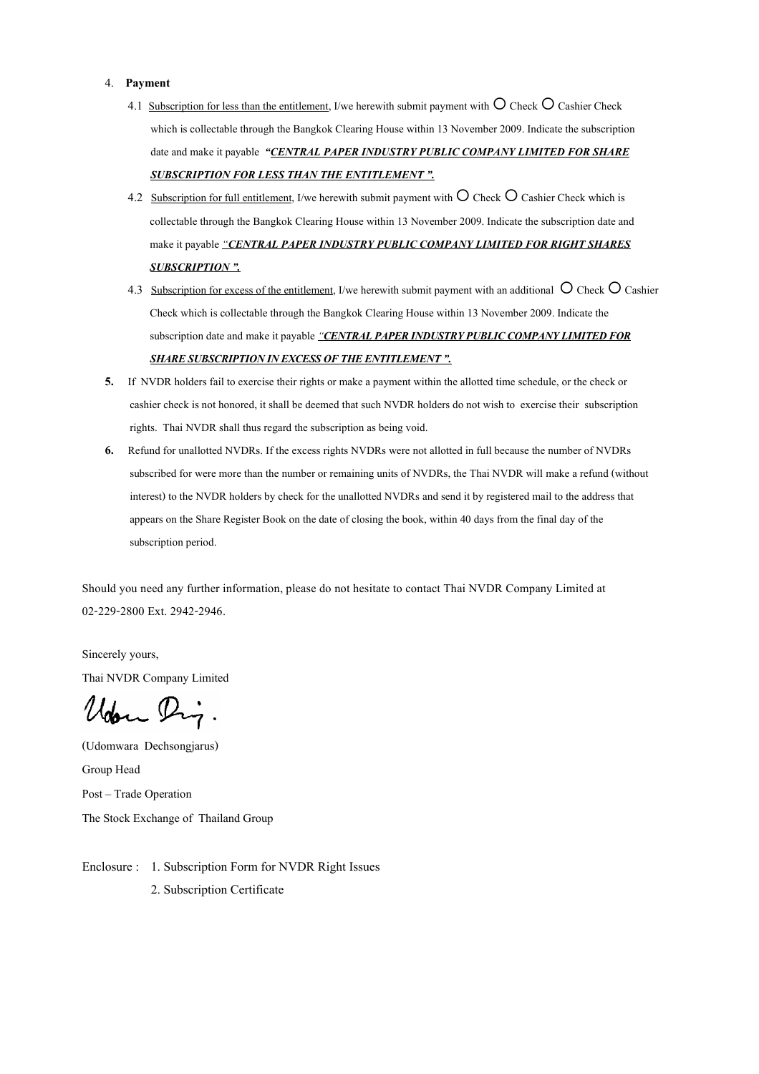#### 4. Payment

- 4.1 Subscription for less than the entitlement, I/we herewith submit payment with  $\bigcirc$  Check  $\bigcirc$  Cashier Check which is collectable through the Bangkok Clearing House within 13 November 2009. Indicate the subscription date and make it payable "CENTRAL PAPER INDUSTRY PUBLIC COMPANY LIMITED FOR SHARE SUBSCRIPTION FOR LESS THAN THE ENTITLEMENT ".
	- 4.2 Subscription for full entitlement, I/we herewith submit payment with  $\bigcirc$  Check  $\bigcirc$  Cashier Check which is collectable through the Bangkok Clearing House within 13 November 2009. Indicate the subscription date and make it payable "CENTRAL PAPER INDUSTRY PUBLIC COMPANY LIMITED FOR RIGHT SHARES **SUBSCRIPTION ".**
	- 4.3 Subscription for excess of the entitlement, I/we herewith submit payment with an additional  $\bigcirc$  Check  $\bigcirc$  Cashier Check which is collectable through the Bangkok Clearing House within 13 November 2009. Indicate the subscription date and make it payable "CENTRAL PAPER INDUSTRY PUBLIC COMPANY LIMITED FOR SHARE SUBSCRIPTION IN EXCESS OF THE ENTITLEMENT".
	- 5. If NVDR holders fail to exercise their rights or make a payment within the allotted time schedule, or the check or cashier check is not honored, it shall be deemed that such NVDR holders do not wish to exercise their subscription rights. Thai NVDR shall thus regard the subscription as being void.
	- 6. Refund for unallotted NVDRs. If the excess rights NVDRs were not allotted in full because the number of NVDRs subscribed for were more than the number or remaining units of NVDRs, the Thai NVDR will make a refund (without interest) to the NVDR holders by check for the unallotted NVDRs and send it by registered mail to the address that appears on the Share Register Book on the date of closing the book, within 40 days from the final day of the subscription period.

Should you need any further information, please do not hesitate to contact Thai NVDR Company Limited at 02-229-2800 Ext. 2942-2946.

Sincerely yours, Thai NVDR Company Limited

Udon Dig.

(Udomwara Dechsongjarus) Group Head Post - Trade Operation The Stock Exchange of Thailand Group

Enclosure : 1. Subscription Form for NVDR Right Issues 2. Subscription Certificate